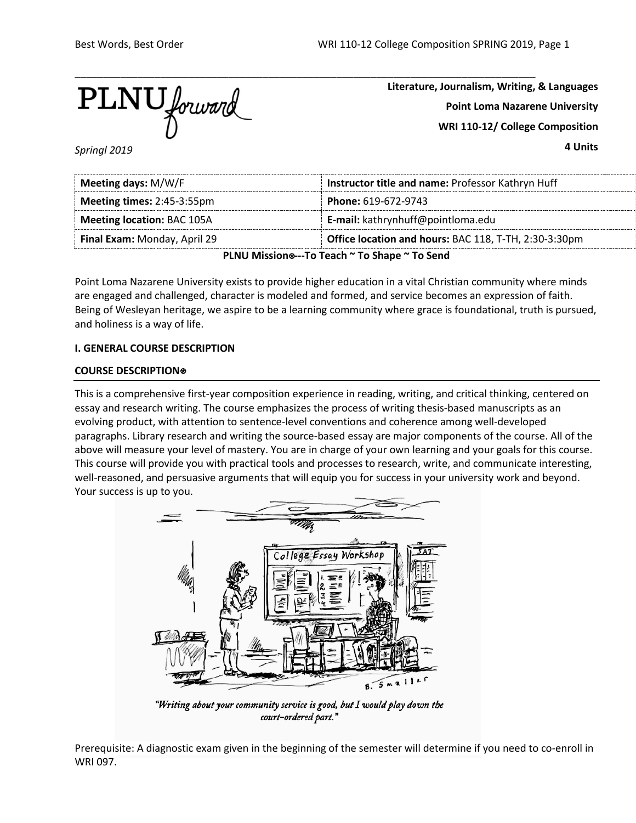

**Literature, Journalism, Writing, & Languages Point Loma Nazarene University WRI 110-12/ College Composition**

**4 Units**

*Springl 2019*

| Meeting days: M/W/F                                                                   | Instructor title and name: Professor Kathryn Huff |  |
|---------------------------------------------------------------------------------------|---------------------------------------------------|--|
| Meeting times: 2:45-3:55pm                                                            | Phone: 619-672-9743                               |  |
| <b>Meeting location: BAC 105A</b>                                                     | E-mail: kathrynhuff@pointloma.edu                 |  |
| Office location and hours: BAC 118, T-TH, 2:30-3:30pm<br>Final Exam: Monday, April 29 |                                                   |  |
| $D[All]$ $M!$                                                                         |                                                   |  |

**PLNU Mission**⍟**---To Teach ~ To Shape ~ To Send**

Point Loma Nazarene University exists to provide higher education in a vital Christian community where minds are engaged and challenged, character is modeled and formed, and service becomes an expression of faith. Being of Wesleyan heritage, we aspire to be a learning community where grace is foundational, truth is pursued, and holiness is a way of life.

# **I. GENERAL COURSE DESCRIPTION**

# **COURSE DESCRIPTION**⍟

This is a comprehensive first-year composition experience in reading, writing, and critical thinking, centered on essay and research writing. The course emphasizes the process of writing thesis-based manuscripts as an evolving product, with attention to sentence-level conventions and coherence among well-developed paragraphs. Library research and writing the source-based essay are major components of the course. All of the above will measure your level of mastery. You are in charge of your own learning and your goals for this course. This course will provide you with practical tools and processes to research, write, and communicate interesting, well-reasoned, and persuasive arguments that will equip you for success in your university work and beyond. Your success is up to you.



"Writing about your community service is good, but I would play down the court-ordered part."

Prerequisite: A diagnostic exam given in the beginning of the semester will determine if you need to co-enroll in WRI 097.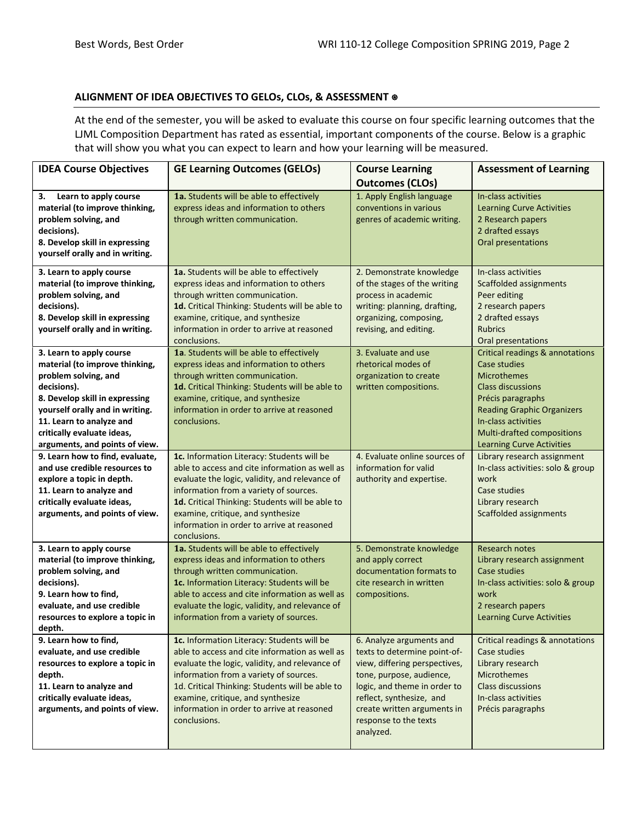# **ALIGNMENT OF IDEA OBJECTIVES TO GELOs, CLOs, & ASSESSMENT** ⍟

At the end of the semester, you will be asked to evaluate this course on four specific learning outcomes that the LJML Composition Department has rated as essential, important components of the course. Below is a graphic that will show you what you can expect to learn and how your learning will be measured.

| <b>IDEA Course Objectives</b>                                                                                                                                                                                                                                      | <b>GE Learning Outcomes (GELOs)</b>                                                                                                                                                                                                                                                                                                            | <b>Course Learning</b><br><b>Outcomes (CLOs)</b>                                                                                                                                                                                                       | <b>Assessment of Learning</b>                                                                                                                                                                                                                            |
|--------------------------------------------------------------------------------------------------------------------------------------------------------------------------------------------------------------------------------------------------------------------|------------------------------------------------------------------------------------------------------------------------------------------------------------------------------------------------------------------------------------------------------------------------------------------------------------------------------------------------|--------------------------------------------------------------------------------------------------------------------------------------------------------------------------------------------------------------------------------------------------------|----------------------------------------------------------------------------------------------------------------------------------------------------------------------------------------------------------------------------------------------------------|
| Learn to apply course<br>З.<br>material (to improve thinking,<br>problem solving, and<br>decisions).<br>8. Develop skill in expressing<br>yourself orally and in writing.                                                                                          | 1a. Students will be able to effectively<br>express ideas and information to others<br>through written communication.                                                                                                                                                                                                                          | 1. Apply English language<br>conventions in various<br>genres of academic writing.                                                                                                                                                                     | In-class activities<br><b>Learning Curve Activities</b><br>2 Research papers<br>2 drafted essays<br>Oral presentations                                                                                                                                   |
| 3. Learn to apply course<br>material (to improve thinking,<br>problem solving, and<br>decisions).<br>8. Develop skill in expressing<br>yourself orally and in writing.                                                                                             | 1a. Students will be able to effectively<br>express ideas and information to others<br>through written communication.<br>1d. Critical Thinking: Students will be able to<br>examine, critique, and synthesize<br>information in order to arrive at reasoned<br>conclusions.                                                                    | 2. Demonstrate knowledge<br>of the stages of the writing<br>process in academic<br>writing: planning, drafting,<br>organizing, composing,<br>revising, and editing.                                                                                    | In-class activities<br>Scaffolded assignments<br>Peer editing<br>2 research papers<br>2 drafted essays<br><b>Rubrics</b><br>Oral presentations                                                                                                           |
| 3. Learn to apply course<br>material (to improve thinking,<br>problem solving, and<br>decisions).<br>8. Develop skill in expressing<br>yourself orally and in writing.<br>11. Learn to analyze and<br>critically evaluate ideas,<br>arguments, and points of view. | 1a. Students will be able to effectively<br>express ideas and information to others<br>through written communication.<br>1d. Critical Thinking: Students will be able to<br>examine, critique, and synthesize<br>information in order to arrive at reasoned<br>conclusions.                                                                    | 3. Evaluate and use<br>rhetorical modes of<br>organization to create<br>written compositions.                                                                                                                                                          | <b>Critical readings &amp; annotations</b><br>Case studies<br>Microthemes<br><b>Class discussions</b><br>Précis paragraphs<br><b>Reading Graphic Organizers</b><br>In-class activities<br>Multi-drafted compositions<br><b>Learning Curve Activities</b> |
| 9. Learn how to find, evaluate,<br>and use credible resources to<br>explore a topic in depth.<br>11. Learn to analyze and<br>critically evaluate ideas,<br>arguments, and points of view.                                                                          | 1c. Information Literacy: Students will be<br>able to access and cite information as well as<br>evaluate the logic, validity, and relevance of<br>information from a variety of sources.<br>1d. Critical Thinking: Students will be able to<br>examine, critique, and synthesize<br>information in order to arrive at reasoned<br>conclusions. | 4. Evaluate online sources of<br>information for valid<br>authority and expertise.                                                                                                                                                                     | Library research assignment<br>In-class activities: solo & group<br>work<br>Case studies<br>Library research<br><b>Scaffolded assignments</b>                                                                                                            |
| 3. Learn to apply course<br>material (to improve thinking,<br>problem solving, and<br>decisions).<br>9. Learn how to find,<br>evaluate, and use credible<br>resources to explore a topic in<br>depth.                                                              | 1a. Students will be able to effectively<br>express ideas and information to others<br>through written communication.<br>1c. Information Literacy: Students will be<br>able to access and cite information as well as<br>evaluate the logic, validity, and relevance of<br>information from a variety of sources.                              | 5. Demonstrate knowledge<br>and apply correct<br>documentation formats to<br>cite research in written<br>compositions.                                                                                                                                 | <b>Research notes</b><br>Library research assignment<br>Case studies<br>In-class activities: solo & group<br>work<br>2 research papers<br><b>Learning Curve Activities</b>                                                                               |
| 9. Learn how to find,<br>evaluate, and use credible<br>resources to explore a topic in<br>depth.<br>11. Learn to analyze and<br>critically evaluate ideas,<br>arguments, and points of view.                                                                       | 1c. Information Literacy: Students will be<br>able to access and cite information as well as<br>evaluate the logic, validity, and relevance of<br>information from a variety of sources.<br>1d. Critical Thinking: Students will be able to<br>examine, critique, and synthesize<br>information in order to arrive at reasoned<br>conclusions. | 6. Analyze arguments and<br>texts to determine point-of-<br>view, differing perspectives,<br>tone, purpose, audience,<br>logic, and theme in order to<br>reflect, synthesize, and<br>create written arguments in<br>response to the texts<br>analyzed. | Critical readings & annotations<br>Case studies<br>Library research<br><b>Microthemes</b><br><b>Class discussions</b><br>In-class activities<br>Précis paragraphs                                                                                        |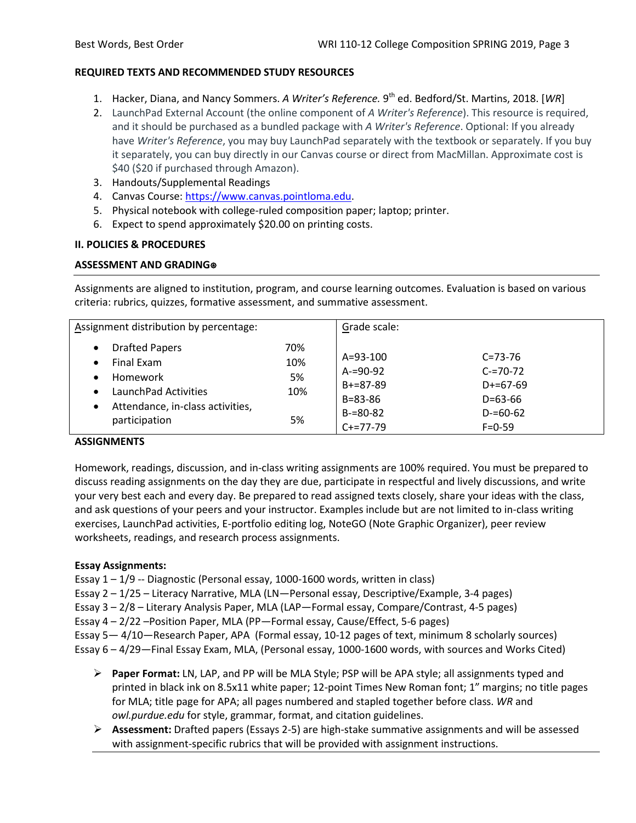# **REQUIRED TEXTS AND RECOMMENDED STUDY RESOURCES**

- 1. Hacker, Diana, and Nancy Sommers. *A Writer's Reference.* 9th ed. Bedford/St. Martins, 2018. [*WR*]
- 2. LaunchPad External Account (the online component of *A Writer's Reference*). This resource is required, and it should be purchased as a bundled package with *A Writer's Reference*. Optional: If you already have *Writer's Reference*, you may buy LaunchPad separately with the textbook or separately. If you buy it separately, you can buy directly in our Canvas course or direct from MacMillan. Approximate cost is \$40 (\$20 if purchased through Amazon).
- 3. Handouts/Supplemental Readings
- 4. Canvas Course: [https://www.canvas.pointloma.edu.](https://www.canvas.pointloma.edu/)
- 5. Physical notebook with college-ruled composition paper; laptop; printer.
- 6. Expect to spend approximately \$20.00 on printing costs.

# **II. POLICIES & PROCEDURES**

# **ASSESSMENT AND GRADING**⍟

Assignments are aligned to institution, program, and course learning outcomes. Evaluation is based on various criteria: rubrics, quizzes, formative assessment, and summative assessment.

| Assignment distribution by percentage:                                                                                                                                                |                               | Grade scale:                                                                                  |                                                                                                |
|---------------------------------------------------------------------------------------------------------------------------------------------------------------------------------------|-------------------------------|-----------------------------------------------------------------------------------------------|------------------------------------------------------------------------------------------------|
| <b>Drafted Papers</b><br>$\bullet$<br>Final Exam<br>$\bullet$<br>Homework<br>$\bullet$<br>LaunchPad Activities<br>$\bullet$<br>Attendance, in-class activities,<br>٠<br>participation | 70%<br>10%<br>5%<br>10%<br>5% | $A = 93 - 100$<br>$A = 90 - 92$<br>$B+=87-89$<br>$B = 83 - 86$<br>$B = 80 - 82$<br>$C+=77-79$ | $C = 73 - 76$<br>$C = 70 - 72$<br>$D+=67-69$<br>$D = 63 - 66$<br>$D = 60 - 62$<br>$F = 0 - 59$ |

# **ASSIGNMENTS**

Homework, readings, discussion, and in-class writing assignments are 100% required. You must be prepared to discuss reading assignments on the day they are due, participate in respectful and lively discussions, and write your very best each and every day. Be prepared to read assigned texts closely, share your ideas with the class, and ask questions of your peers and your instructor. Examples include but are not limited to in-class writing exercises, LaunchPad activities, E-portfolio editing log, NoteGO (Note Graphic Organizer), peer review worksheets, readings, and research process assignments.

# **Essay Assignments:**

Essay 1 – 1/9 -- Diagnostic (Personal essay, 1000-1600 words, written in class)

Essay 2 – 1/25 – Literacy Narrative, MLA (LN—Personal essay, Descriptive/Example, 3-4 pages)

Essay 3 – 2/8 – Literary Analysis Paper, MLA (LAP—Formal essay, Compare/Contrast, 4-5 pages)

Essay 4 – 2/22 –Position Paper, MLA (PP—Formal essay, Cause/Effect, 5-6 pages)

Essay 5— 4/10—Research Paper, APA (Formal essay, 10-12 pages of text, minimum 8 scholarly sources)

Essay 6 – 4/29—Final Essay Exam, MLA, (Personal essay, 1000-1600 words, with sources and Works Cited)

- **Paper Format:** LN, LAP, and PP will be MLA Style; PSP will be APA style; all assignments typed and printed in black ink on 8.5x11 white paper; 12-point Times New Roman font; 1" margins; no title pages for MLA; title page for APA; all pages numbered and stapled together before class. *WR* and *owl.purdue.edu* for style, grammar, format, and citation guidelines.
- **Assessment:** Drafted papers (Essays 2-5) are high-stake summative assignments and will be assessed with assignment-specific rubrics that will be provided with assignment instructions.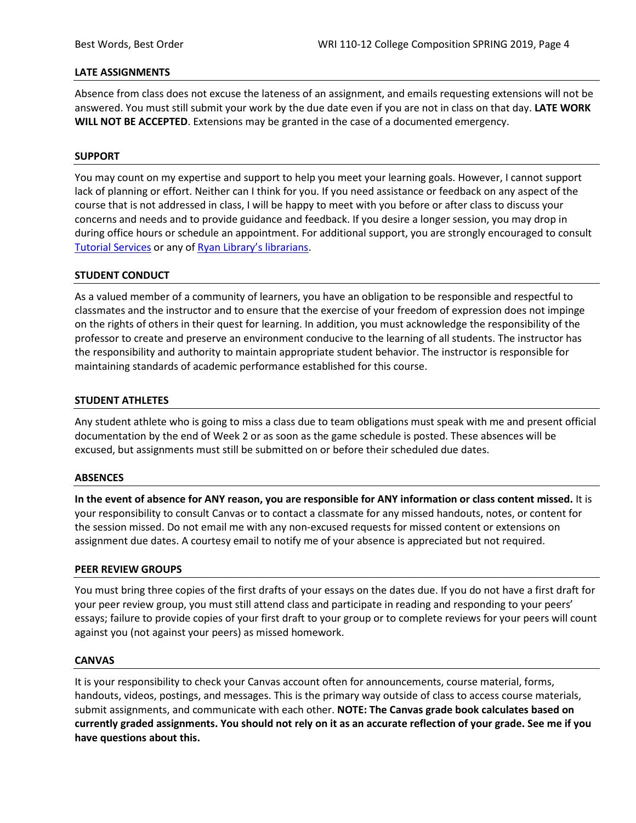### **LATE ASSIGNMENTS**

Absence from class does not excuse the lateness of an assignment, and emails requesting extensions will not be answered. You must still submit your work by the due date even if you are not in class on that day. **LATE WORK WILL NOT BE ACCEPTED**. Extensions may be granted in the case of a documented emergency.

### **SUPPORT**

You may count on my expertise and support to help you meet your learning goals. However, I cannot support lack of planning or effort. Neither can I think for you. If you need assistance or feedback on any aspect of the course that is not addressed in class, I will be happy to meet with you before or after class to discuss your concerns and needs and to provide guidance and feedback. If you desire a longer session, you may drop in during office hours or schedule an appointment. For additional support, you are strongly encouraged to consult [Tutorial Services](http://www.pointloma.edu/experience/offices/student-services/tutorial-services/services) or any of [Ryan Library's librarians.](http://www.pointloma.edu/ryanlibrary)

### **STUDENT CONDUCT**

As a valued member of a community of learners, you have an obligation to be responsible and respectful to classmates and the instructor and to ensure that the exercise of your freedom of expression does not impinge on the rights of others in their quest for learning. In addition, you must acknowledge the responsibility of the professor to create and preserve an environment conducive to the learning of all students. The instructor has the responsibility and authority to maintain appropriate student behavior. The instructor is responsible for maintaining standards of academic performance established for this course.

#### **STUDENT ATHLETES**

Any student athlete who is going to miss a class due to team obligations must speak with me and present official documentation by the end of Week 2 or as soon as the game schedule is posted. These absences will be excused, but assignments must still be submitted on or before their scheduled due dates.

#### **ABSENCES**

**In the event of absence for ANY reason, you are responsible for ANY information or class content missed.** It is your responsibility to consult Canvas or to contact a classmate for any missed handouts, notes, or content for the session missed. Do not email me with any non-excused requests for missed content or extensions on assignment due dates. A courtesy email to notify me of your absence is appreciated but not required.

#### **PEER REVIEW GROUPS**

You must bring three copies of the first drafts of your essays on the dates due. If you do not have a first draft for your peer review group, you must still attend class and participate in reading and responding to your peers' essays; failure to provide copies of your first draft to your group or to complete reviews for your peers will count against you (not against your peers) as missed homework.

#### **CANVAS**

It is your responsibility to check your Canvas account often for announcements, course material, forms, handouts, videos, postings, and messages. This is the primary way outside of class to access course materials, submit assignments, and communicate with each other. **NOTE: The Canvas grade book calculates based on currently graded assignments. You should not rely on it as an accurate reflection of your grade. See me if you have questions about this.**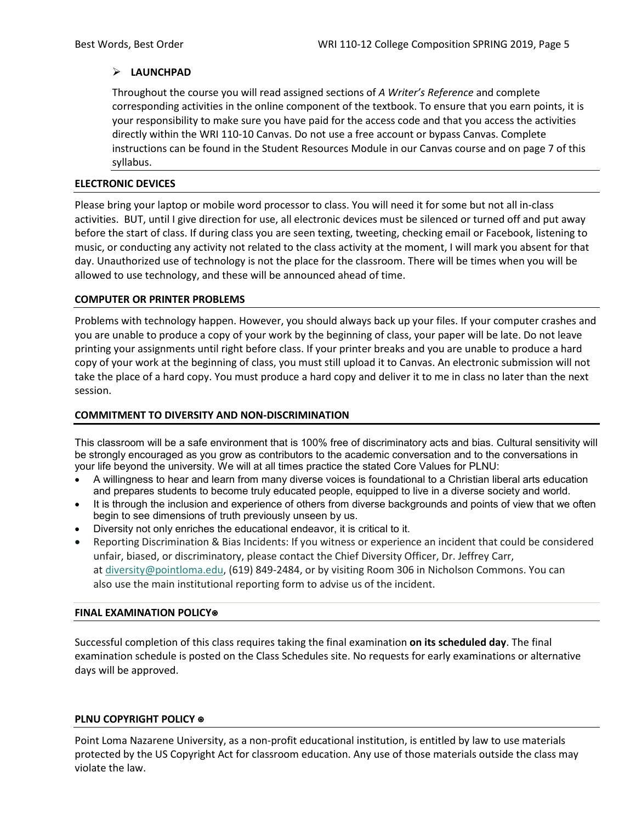# **LAUNCHPAD**

Throughout the course you will read assigned sections of *A Writer's Reference* and complete corresponding activities in the online component of the textbook. To ensure that you earn points, it is your responsibility to make sure you have paid for the access code and that you access the activities directly within the WRI 110-10 Canvas. Do not use a free account or bypass Canvas. Complete instructions can be found in the Student Resources Module in our Canvas course and on page 7 of this syllabus.

### **ELECTRONIC DEVICES**

Please bring your laptop or mobile word processor to class. You will need it for some but not all in-class activities. BUT, until I give direction for use, all electronic devices must be silenced or turned off and put away before the start of class. If during class you are seen texting, tweeting, checking email or Facebook, listening to music, or conducting any activity not related to the class activity at the moment, I will mark you absent for that day. Unauthorized use of technology is not the place for the classroom. There will be times when you will be allowed to use technology, and these will be announced ahead of time.

# **COMPUTER OR PRINTER PROBLEMS**

Problems with technology happen. However, you should always back up your files. If your computer crashes and you are unable to produce a copy of your work by the beginning of class, your paper will be late. Do not leave printing your assignments until right before class. If your printer breaks and you are unable to produce a hard copy of your work at the beginning of class, you must still upload it to Canvas. An electronic submission will not take the place of a hard copy. You must produce a hard copy and deliver it to me in class no later than the next session.

# **COMMITMENT TO DIVERSITY AND NON-DISCRIMINATION**

This classroom will be a safe environment that is 100% free of discriminatory acts and bias. Cultural sensitivity will be strongly encouraged as you grow as contributors to the academic conversation and to the conversations in your life beyond the university. We will at all times practice the stated Core Values for PLNU:

- A willingness to hear and learn from many diverse voices is foundational to a Christian liberal arts education and prepares students to become truly educated people, equipped to live in a diverse society and world.
- It is through the inclusion and experience of others from diverse backgrounds and points of view that we often begin to see dimensions of truth previously unseen by us.
- Diversity not only enriches the educational endeavor, it is critical to it.
- Reporting Discrimination & Bias Incidents: If you witness or experience an incident that could be considered unfair, biased, or discriminatory, please contact the Chief Diversity Officer, Dr. Jeffrey Carr, at [diversity@pointloma.edu,](mailto:diversity@pointloma.edu) (619) 849-2484, or by visiting Room 306 in Nicholson Commons. You can also use the main institutional reporting form to advise us of the incident.

#### **FINAL EXAMINATION POLICY**⍟

Successful completion of this class requires taking the final examination **on its scheduled day**. The final examination schedule is posted on the Class Schedules site. No requests for early examinations or alternative days will be approved.

#### **PLNU COPYRIGHT POLICY** ⍟

Point Loma Nazarene University, as a non-profit educational institution, is entitled by law to use materials protected by the US Copyright Act for classroom education. Any use of those materials outside the class may violate the law.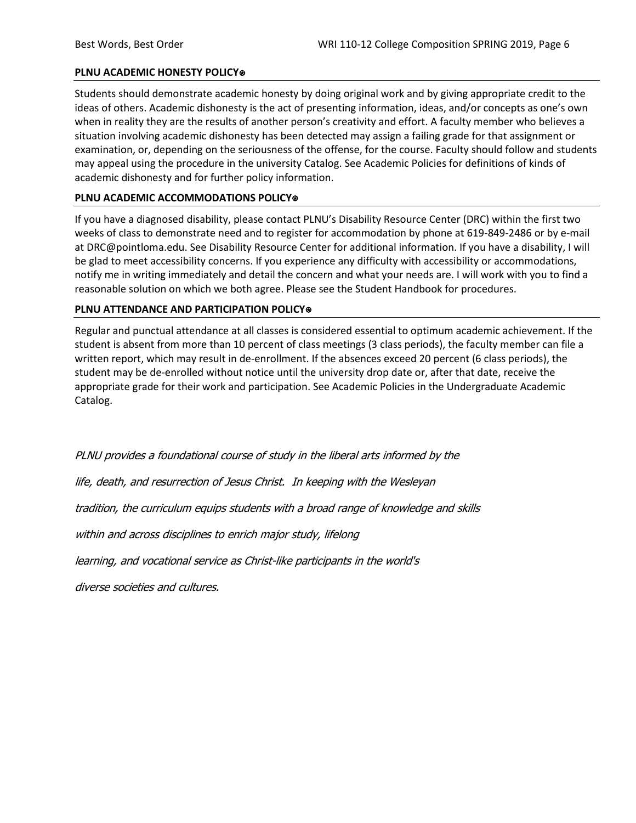### **PLNU ACADEMIC HONESTY POLICY**⍟

Students should demonstrate academic honesty by doing original work and by giving appropriate credit to the ideas of others. Academic dishonesty is the act of presenting information, ideas, and/or concepts as one's own when in reality they are the results of another person's creativity and effort. A faculty member who believes a situation involving academic dishonesty has been detected may assign a failing grade for that assignment or examination, or, depending on the seriousness of the offense, for the course. Faculty should follow and students may appeal using the procedure in the university Catalog. See Academic Policies for definitions of kinds of academic dishonesty and for further policy information.

### **PLNU ACADEMIC ACCOMMODATIONS POLICY**⍟

If you have a diagnosed disability, please contact PLNU's Disability Resource Center (DRC) within the first two weeks of class to demonstrate need and to register for accommodation by phone at 619-849-2486 or by e-mail at DRC@pointloma.edu. See Disability Resource Center for additional information. If you have a disability, I will be glad to meet accessibility concerns. If you experience any difficulty with accessibility or accommodations, notify me in writing immediately and detail the concern and what your needs are. I will work with you to find a reasonable solution on which we both agree. Please see the Student Handbook for procedures.

### **PLNU ATTENDANCE AND PARTICIPATION POLICY**⍟

Regular and punctual attendance at all classes is considered essential to optimum academic achievement. If the student is absent from more than 10 percent of class meetings (3 class periods), the faculty member can file a written report, which may result in de-enrollment. If the absences exceed 20 percent (6 class periods), the student may be de-enrolled without notice until the university drop date or, after that date, receive the appropriate grade for their work and participation. See Academic Policies in the Undergraduate Academic Catalog.

PLNU provides a foundational course of study in the liberal arts informed by the

life, death, and resurrection of Jesus Christ. In keeping with the Wesleyan

tradition, the curriculum equips students with a broad range of knowledge and skills

within and across disciplines to enrich major study, lifelong

learning, and vocational service as Christ-like participants in the world's

diverse societies and cultures.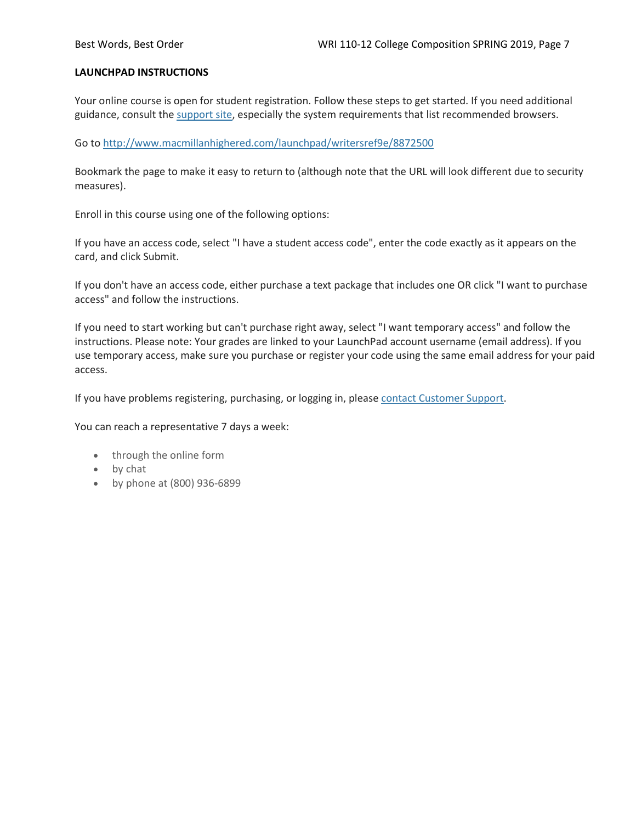#### **LAUNCHPAD INSTRUCTIONS**

Your online course is open for student registration. Follow these steps to get started. If you need additional guidance, consult the [support site,](https://community.macmillan.com/community/digital-product-support) especially the system requirements that list recommended browsers.

Go to <http://www.macmillanhighered.com/launchpad/writersref9e/8872500>

Bookmark the page to make it easy to return to (although note that the URL will look different due to security measures).

Enroll in this course using one of the following options:

If you have an access code, select "I have a student access code", enter the code exactly as it appears on the card, and click Submit.

If you don't have an access code, either purchase a text package that includes one OR click "I want to purchase access" and follow the instructions.

If you need to start working but can't purchase right away, select "I want temporary access" and follow the instructions. Please note: Your grades are linked to your LaunchPad account username (email address). If you use temporary access, make sure you purchase or register your code using the same email address for your paid access.

If you have problems registering, purchasing, or logging in, please [contact Customer Support.](https://community.macmillan.com/community/digital-product-support)

You can reach a representative 7 days a week:

- through the online form
- by chat
- by phone at (800) 936-6899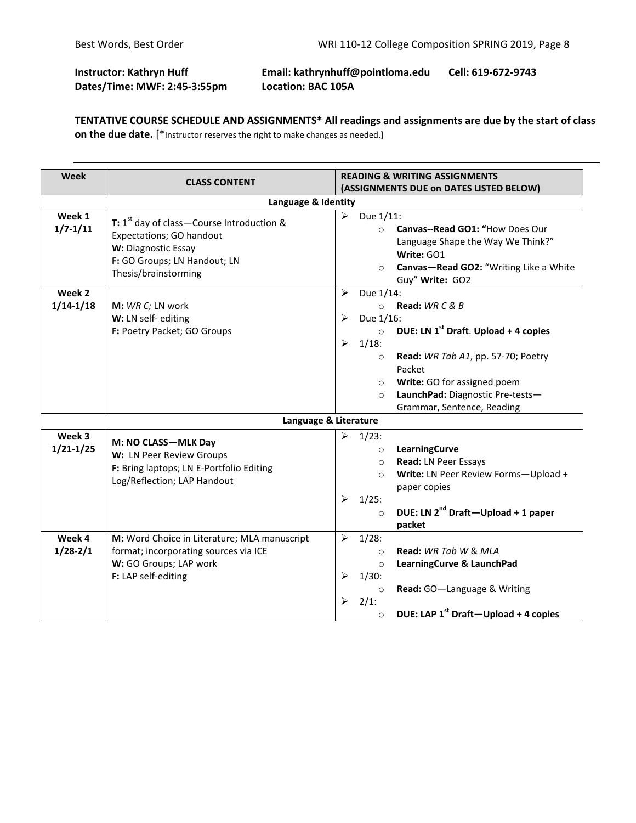# **Instructor: Kathryn Huff Email: kathrynhuff@pointloma.edu Cell: 619-672-9743 Dates/Time: MWF: 2:45-3:55pm Location: BAC 105A**

**TENTATIVE COURSE SCHEDULE AND ASSIGNMENTS\* All readings and assignments are due by the start of class on the due date.** [\*Instructor reserves the right to make changes as needed.]

| Week                    | <b>CLASS CONTENT</b>                                                                                                                                                      | <b>READING &amp; WRITING ASSIGNMENTS</b><br>(ASSIGNMENTS DUE on DATES LISTED BELOW)                                                                                                                                                                                                                                         |  |
|-------------------------|---------------------------------------------------------------------------------------------------------------------------------------------------------------------------|-----------------------------------------------------------------------------------------------------------------------------------------------------------------------------------------------------------------------------------------------------------------------------------------------------------------------------|--|
| Language & Identity     |                                                                                                                                                                           |                                                                                                                                                                                                                                                                                                                             |  |
| Week 1<br>$1/7 - 1/11$  | <b>T:</b> $1^{st}$ day of class – Course Introduction &<br><b>Expectations; GO handout</b><br>W: Diagnostic Essay<br>F: GO Groups; LN Handout; LN<br>Thesis/brainstorming | Due 1/11:<br>➤<br>Canvas--Read GO1: "How Does Our<br>$\circ$<br>Language Shape the Way We Think?"<br>Write: GO1<br>Canvas-Read GO2: "Writing Like a White<br>$\circ$<br>Guy" Write: GO2                                                                                                                                     |  |
| Week 2<br>$1/14 - 1/18$ | M: WR C; LN work<br>W: LN self-editing<br>F: Poetry Packet; GO Groups                                                                                                     | Due 1/14:<br>⋗<br>Read: $WR C & B$<br>$\circ$<br>Due 1/16:<br>⋗<br>DUE: LN $1^{st}$ Draft. Upload + 4 copies<br>$\circ$<br>$1/18$ :<br>➤<br>Read: WR Tab A1, pp. 57-70; Poetry<br>$\circ$<br>Packet<br>Write: GO for assigned poem<br>$\circ$<br>LaunchPad: Diagnostic Pre-tests-<br>$\Omega$<br>Grammar, Sentence, Reading |  |
|                         |                                                                                                                                                                           | Language & Literature                                                                                                                                                                                                                                                                                                       |  |
| Week 3<br>$1/21 - 1/25$ | M: NO CLASS-MLK Day<br>W: LN Peer Review Groups<br>F: Bring laptops; LN E-Portfolio Editing<br>Log/Reflection; LAP Handout                                                | ⋗<br>$1/23$ :<br>LearningCurve<br>$\circ$<br>Read: LN Peer Essays<br>$\circ$<br>Write: LN Peer Review Forms-Upload +<br>$\Omega$<br>paper copies<br>$1/25$ :<br>➤<br>DUE: LN 2 <sup>nd</sup> Draft-Upload + 1 paper<br>$\circ$<br>packet                                                                                    |  |
| Week 4<br>$1/28 - 2/1$  | M: Word Choice in Literature; MLA manuscript<br>format; incorporating sources via ICE<br>W: GO Groups; LAP work<br>F: LAP self-editing                                    | $1/28$ :<br>➤<br>Read: WR Tab W & MLA<br>$\Omega$<br>LearningCurve & LaunchPad<br>$\circ$<br>$1/30$ :<br>⋗<br>Read: GO-Language & Writing<br>$\circ$<br>2/1:<br>⋗<br>DUE: LAP 1 <sup>st</sup> Draft-Upload + 4 copies<br>$\circ$                                                                                            |  |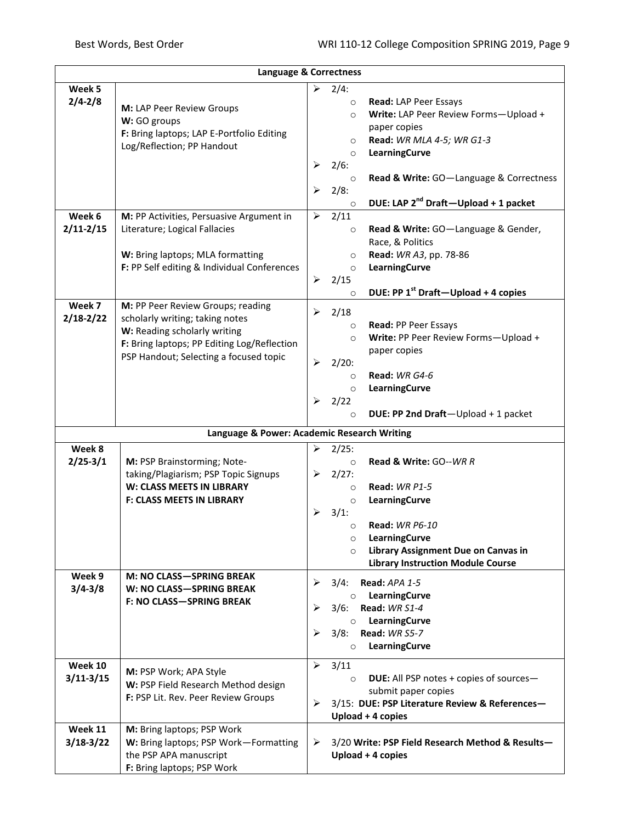| Language & Correctness |                                             |                       |                    |                                                      |
|------------------------|---------------------------------------------|-----------------------|--------------------|------------------------------------------------------|
| Week 5                 |                                             |                       | $\geq$ 2/4:        |                                                      |
| $2/4 - 2/8$            |                                             |                       | $\circ$            | Read: LAP Peer Essays                                |
|                        | M: LAP Peer Review Groups                   |                       | $\circ$            | Write: LAP Peer Review Forms-Upload +                |
|                        | W: GO groups                                |                       |                    | paper copies                                         |
|                        | F: Bring laptops; LAP E-Portfolio Editing   |                       | $\circ$            | Read: WR MLA 4-5; WR G1-3                            |
|                        | Log/Reflection; PP Handout                  |                       | $\circ$            | LearningCurve                                        |
|                        |                                             | ➤                     | 2/6:               |                                                      |
|                        |                                             |                       | $\circ$            | Read & Write: GO-Language & Correctness              |
|                        |                                             | ➤                     | 2/8:               |                                                      |
|                        |                                             |                       | $\circ$            | DUE: LAP 2 <sup>nd</sup> Draft-Upload + 1 packet     |
| Week 6                 | M: PP Activities, Persuasive Argument in    | ➤                     | 2/11               |                                                      |
| $2/11 - 2/15$          | Literature; Logical Fallacies               |                       | $\circ$            | Read & Write: GO-Language & Gender,                  |
|                        |                                             |                       |                    | Race, & Politics                                     |
|                        | W: Bring laptops; MLA formatting            |                       | $\circ$            | Read: WR A3, pp. 78-86                               |
|                        | F: PP Self editing & Individual Conferences |                       | $\circ$            | LearningCurve                                        |
|                        |                                             | $\blacktriangleright$ | 2/15               |                                                      |
|                        |                                             |                       | $\circ$            | DUE: PP 1 <sup>st</sup> Draft-Upload + 4 copies      |
| Week 7                 | M: PP Peer Review Groups; reading           | ≻                     | 2/18               |                                                      |
| $2/18 - 2/22$          | scholarly writing; taking notes             |                       | $\circ$            | Read: PP Peer Essays                                 |
|                        | W: Reading scholarly writing                |                       | $\circ$            | Write: PP Peer Review Forms-Upload +                 |
|                        | F: Bring laptops; PP Editing Log/Reflection |                       |                    | paper copies                                         |
|                        | PSP Handout; Selecting a focused topic      | $\blacktriangleright$ | $2/20$ :           |                                                      |
|                        |                                             |                       | $\circ$            | Read: WR G4-6                                        |
|                        |                                             |                       | $\circ$            | LearningCurve                                        |
|                        |                                             | $\blacktriangleright$ | 2/22               |                                                      |
|                        |                                             |                       | $\circ$            | DUE: PP 2nd Draft-Upload + 1 packet                  |
|                        |                                             |                       |                    |                                                      |
|                        | Language & Power: Academic Research Writing |                       |                    |                                                      |
| Week 8                 |                                             | $\triangleright$      | 2/25:              |                                                      |
| $2/25 - 3/1$           | M: PSP Brainstorming; Note-                 |                       | $\circ$            | <b>Read &amp; Write: GO--WR R</b>                    |
|                        | taking/Plagiarism; PSP Topic Signups        |                       | $\geq$ 2/27:       |                                                      |
|                        | W: CLASS MEETS IN LIBRARY                   |                       | $\circ$            | Read: WR P1-5                                        |
|                        | <b>F: CLASS MEETS IN LIBRARY</b>            |                       | $\circ$            | LearningCurve                                        |
|                        |                                             | ➤                     | 3/1:               | <b>Read: WR P6-10</b>                                |
|                        |                                             |                       | $\circ$            |                                                      |
|                        |                                             |                       | $\circ$<br>$\circ$ | LearningCurve<br>Library Assignment Due on Canvas in |
|                        |                                             |                       |                    | <b>Library Instruction Module Course</b>             |
| Week 9                 | <b>M: NO CLASS-SPRING BREAK</b>             |                       |                    |                                                      |
| $3/4 - 3/8$            | W: NO CLASS-SPRING BREAK                    | ➤                     | 3/4:               | Read: APA 1-5                                        |
|                        | <b>F: NO CLASS-SPRING BREAK</b>             |                       | $\circ$            | LearningCurve                                        |
|                        |                                             | ➤                     | 3/6:               | Read: WR S1-4                                        |
|                        |                                             |                       | $\circ$            | LearningCurve                                        |
|                        |                                             | ≻                     |                    | 3/8: Read: WR S5-7                                   |
|                        |                                             |                       | $\circ$            | LearningCurve                                        |
| Week 10                |                                             | ➤                     | 3/11               |                                                      |
| $3/11 - 3/15$          | M: PSP Work; APA Style                      |                       | $\circ$            | DUE: All PSP notes + copies of sources-              |
|                        | W: PSP Field Research Method design         |                       |                    | submit paper copies                                  |
|                        | F: PSP Lit. Rev. Peer Review Groups         | ⋗                     |                    | 3/15: DUE: PSP Literature Review & References-       |
|                        |                                             |                       |                    | Upload + 4 copies                                    |
| Week 11                | M: Bring laptops; PSP Work                  |                       |                    |                                                      |
| $3/18-3/22$            | W: Bring laptops; PSP Work-Formatting       | ➤                     |                    | 3/20 Write: PSP Field Research Method & Results-     |
|                        | the PSP APA manuscript                      |                       |                    | Upload + 4 copies                                    |
|                        | F: Bring laptops; PSP Work                  |                       |                    |                                                      |